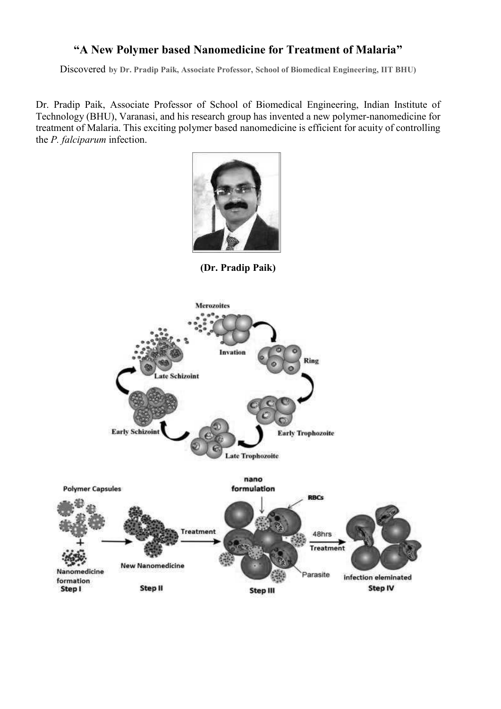## **"A New Polymer based Nanomedicine for Treatment of Malaria"**

Discovered **by Dr. Pradip Paik, Associate Professor, School of Biomedical Engineering, IIT BHU)**

Dr. Pradip Paik, Associate Professor of School of Biomedical Engineering, Indian Institute of Technology (BHU), Varanasi, and his research group has invented a new polymer-nanomedicine for treatment of Malaria. This exciting polymer based nanomedicine is efficient for acuity of controlling the *P. falciparum* infection.



**(Dr. Pradip Paik)**